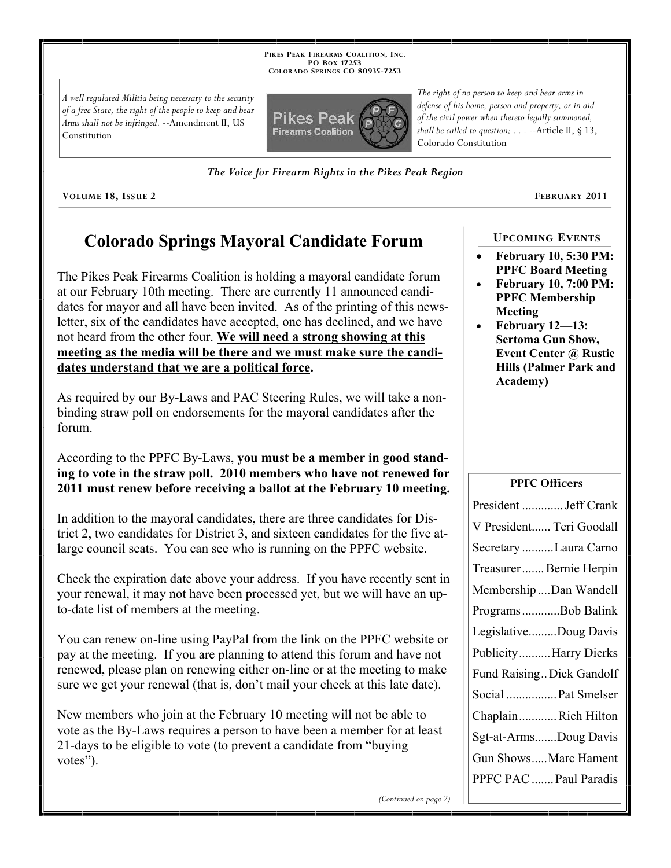**PIKES PEAK FIREARMS COALITION, INC. PO BOX 17253 COLORADO SPRINGS CO 80935 -7253**

*A well regulated Militia being necessary to the security of a free State, the right of the people to keep and bear Arms shall not be infringed.* --Amendment II, US Constitution



*The Voice for Firearm Rights in the Pikes Peak Region*

**VOLUME 18, ISSUE 2 FEBRUARY 2011**

## **Colorado Springs Mayoral Candidate Forum**

The Pikes Peak Firearms Coalition is holding a mayoral candidate forum at our February 10th meeting. There are currently 11 announced candidates for mayor and all have been invited. As of the printing of this newsletter, six of the candidates have accepted, one has declined, and we have not heard from the other four. **We will need a strong showing at this meeting as the media will be there and we must make sure the candidates understand that we are a political force.**

As required by our By-Laws and PAC Steering Rules, we will take a nonbinding straw poll on endorsements for the mayoral candidates after the forum.

### According to the PPFC By-Laws, **you must be a member in good standing to vote in the straw poll. 2010 members who have not renewed for 2011 must renew before receiving a ballot at the February 10 meeting.**

In addition to the mayoral candidates, there are three candidates for District 2, two candidates for District 3, and sixteen candidates for the five atlarge council seats. You can see who is running on the PPFC website.

Check the expiration date above your address. If you have recently sent in your renewal, it may not have been processed yet, but we will have an upto-date list of members at the meeting.

You can renew on-line using PayPal from the link on the PPFC website or pay at the meeting. If you are planning to attend this forum and have not renewed, please plan on renewing either on-line or at the meeting to make sure we get your renewal (that is, don't mail your check at this late date).

New members who join at the February 10 meeting will not be able to vote as the By-Laws requires a person to have been a member for at least 21-days to be eligible to vote (to prevent a candidate from "buying votes").

*The right of no person to keep and bear arms in defense of his home, person and property, or in aid of the civil power when thereto legally summoned, shall be called to question; . . .* --Article II, § 13, Colorado Constitution

#### **UPCOMING EVENTS**

- **February 10, 5:30 PM: PPFC Board Meeting**
- **February 10, 7:00 PM: PPFC Membership Meeting**
- **February 12—13: Sertoma Gun Show, Event Center @ Rustic Hills (Palmer Park and Academy)**

#### **PPFC Officers**

| President  Jeff Crank     |
|---------------------------|
| V President Teri Goodall  |
| Secretary Laura Carno     |
| Treasurer Bernie Herpin   |
| Membership Dan Wandell    |
| ProgramsBob Balink        |
| LegislativeDoug Davis     |
| PublicityHarry Dierks     |
| Fund Raising Dick Gandolf |
| Social  Pat Smelser       |
| ChaplainRich Hilton       |
| Sgt-at-ArmsDoug Davis     |
| Gun ShowsMarc Hament      |
| PPFC PAC  Paul Paradis    |

*(Continued on page 2)*